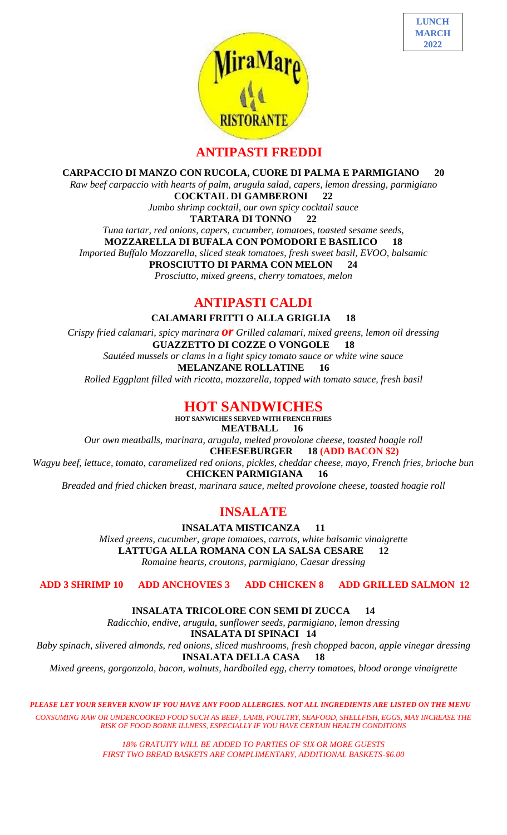



### **ANTIPASTI FREDDI**

**CARPACCIO DI MANZO CON RUCOLA, CUORE DI PALMA E PARMIGIANO 20**

*Raw beef carpaccio with hearts of palm, arugula salad, capers, lemon dressing, parmigiano* **COCKTAIL DI GAMBERONI 22**

*Jumbo shrimp cocktail, our own spicy cocktail sauce*

**TARTARA DI TONNO 22**

*Tuna tartar, red onions, capers, cucumber, tomatoes, toasted sesame seeds,* 

**MOZZARELLA DI BUFALA CON POMODORI E BASILICO 18**

*Imported Buffalo Mozzarella, sliced steak tomatoes, fresh sweet basil, EVOO, balsamic*

**PROSCIUTTO DI PARMA CON MELON 24**

*Prosciutto, mixed greens, cherry tomatoes, melon* 

### **ANTIPASTI CALDI**

**CALAMARI FRITTI O ALLA GRIGLIA 18**

*Crispy fried calamari, spicy marinara or Grilled calamari, mixed greens, lemon oil dressing* **GUAZZETTO DI COZZE O VONGOLE 18** *Sautéed mussels or clams in a light spicy tomato sauce or white wine sauce* **MELANZANE ROLLATINE 16**

*Rolled Eggplant filled with ricotta, mozzarella, topped with tomato sauce, fresh basil*

### **HOT SANDWICHES**

**HOT SANWICHES SERVED WITH FRENCH FRIES MEATBALL 16** *Our own meatballs, marinara, arugula, melted provolone cheese, toasted hoagie roll*  **CHEESEBURGER 18 (ADD BACON \$2)** *Wagyu beef, lettuce, tomato, caramelized red onions, pickles, cheddar cheese, mayo, French fries, brioche bun*  **CHICKEN PARMIGIANA 16** *Breaded and fried chicken breast, marinara sauce, melted provolone cheese, toasted hoagie roll*

### **INSALATE**

**INSALATA MISTICANZA 11**

*Mixed greens, cucumber, grape tomatoes, carrots, white balsamic vinaigrette* **LATTUGA ALLA ROMANA CON LA SALSA CESARE 12** *Romaine hearts, croutons, parmigiano, Caesar dressing*

**ADD 3 SHRIMP 10 ADD ANCHOVIES 3 ADD CHICKEN 8 ADD GRILLED SALMON 12**

**INSALATA TRICOLORE CON SEMI DI ZUCCA 14**

*Radicchio, endive, arugula, sunflower seeds, parmigiano, lemon dressing* **INSALATA DI SPINACI 14** *Baby spinach, slivered almonds, red onions, sliced mushrooms, fresh chopped bacon, apple vinegar dressing* **INSALATA DELLA CASA 18** *Mixed greens, gorgonzola, bacon, walnuts, hardboiled egg, cherry tomatoes, blood orange vinaigrette*

*PLEASE LET YOUR SERVER KNOW IF YOU HAVE ANY FOOD ALLERGIES. NOT ALL INGREDIENTS ARE LISTED ON THE MENU CONSUMING RAW OR UNDERCOOKED FOOD SUCH AS BEEF, LAMB, POULTRY, SEAFOOD, SHELLFISH, EGGS, MAY INCREASE THE RISK OF FOOD BORNE ILLNESS, ESPECIALLY IF YOU HAVE CERTAIN HEALTH CONDITIONS*

> *18% GRATUITY WILL BE ADDED TO PARTIES OF SIX OR MORE GUESTS FIRST TWO BREAD BASKETS ARE COMPLIMENTARY, ADDITIONAL BASKETS-\$6.00*